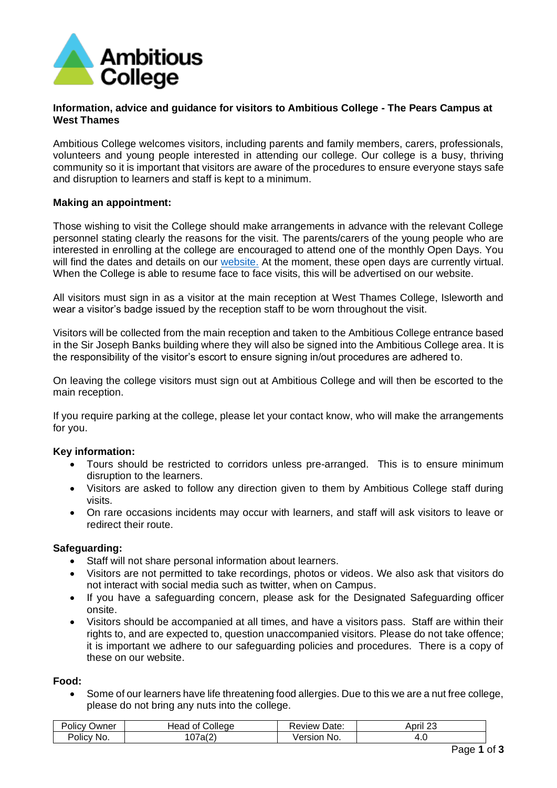

## **Information, advice and guidance for visitors to Ambitious College - The Pears Campus at West Thames**

Ambitious College welcomes visitors, including parents and family members, carers, professionals, volunteers and young people interested in attending our college. Our college is a busy, thriving community so it is important that visitors are aware of the procedures to ensure everyone stays safe and disruption to learners and staff is kept to a minimum.

### **Making an appointment:**

Those wishing to visit the College should make arrangements in advance with the relevant College personnel stating clearly the reasons for the visit. The parents/carers of the young people who are interested in enrolling at the college are encouraged to attend one of the monthly Open Days. You will find the dates and details on our [website.](https://ambitiouscollege.org.uk/key-information/how-to-apply/open-days) At the moment, these open days are currently virtual. When the College is able to resume face to face visits, this will be advertised on our website.

All visitors must sign in as a visitor at the main reception at West Thames College, Isleworth and wear a visitor's badge issued by the reception staff to be worn throughout the visit.

Visitors will be collected from the main reception and taken to the Ambitious College entrance based in the Sir Joseph Banks building where they will also be signed into the Ambitious College area. It is the responsibility of the visitor's escort to ensure signing in/out procedures are adhered to.

On leaving the college visitors must sign out at Ambitious College and will then be escorted to the main reception.

If you require parking at the college, please let your contact know, who will make the arrangements for you.

#### **Key information:**

- Tours should be restricted to corridors unless pre-arranged. This is to ensure minimum disruption to the learners.
- Visitors are asked to follow any direction given to them by Ambitious College staff during visits.
- On rare occasions incidents may occur with learners, and staff will ask visitors to leave or redirect their route.

### **Safeguarding:**

- Staff will not share personal information about learners.
- Visitors are not permitted to take recordings, photos or videos. We also ask that visitors do not interact with social media such as twitter, when on Campus.
- If you have a safeguarding concern, please ask for the Designated Safeguarding officer onsite.
- Visitors should be accompanied at all times, and have a visitors pass. Staff are within their rights to, and are expected to, question unaccompanied visitors. Please do not take offence; it is important we adhere to our safeguarding policies and procedures. There is a copy of these on our website.

#### **Food:**

• Some of our learners have life threatening food allergies. Due to this we are a nut free college, please do not bring any nuts into the college.

| Jwner<br>'olıc∖           | College<br>Head<br>nt | Date:<br>wew  | <br>$\sim$<br><b>\Dril</b> |
|---------------------------|-----------------------|---------------|----------------------------|
| -<br><b>Policy</b><br>NO. | $\sim$<br>'at         | ersion<br>No. | −.∪                        |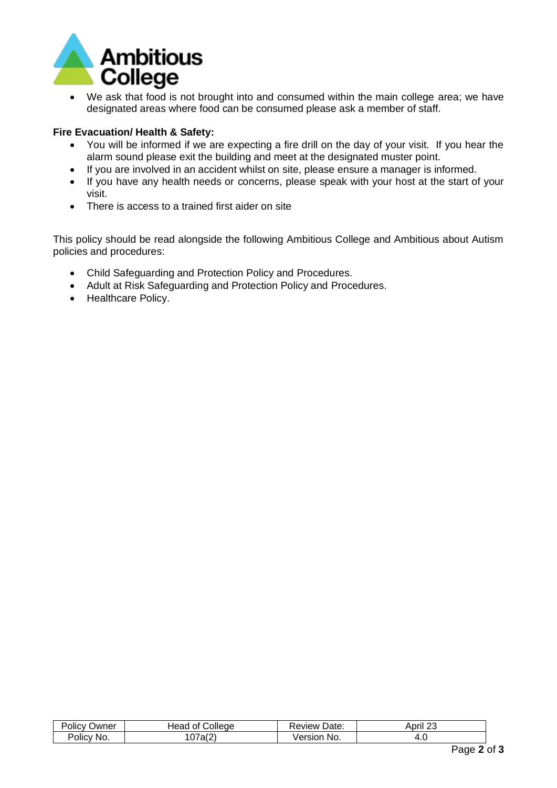

We ask that food is not brought into and consumed within the main college area; we have designated areas where food can be consumed please ask a member of staff.

## **Fire Evacuation/ Health & Safety:**

- You will be informed if we are expecting a fire drill on the day of your visit. If you hear the alarm sound please exit the building and meet at the designated muster point.
- If you are involved in an accident whilst on site, please ensure a manager is informed.
- If you have any health needs or concerns, please speak with your host at the start of your visit.
- There is access to a trained first aider on site

This policy should be read alongside the following Ambitious College and Ambitious about Autism policies and procedures:

- Child Safeguarding and Protection Policy and Procedures.
- Adult at Risk Safeguarding and Protection Policy and Procedures.
- Healthcare Policy.

| -<br>)wner<br>'olic\ | `วlleae<br>0t<br>Неас<br>$\cdot$ | Date:<br>eview | $\sim$<br>April<br>∼ |
|----------------------|----------------------------------|----------------|----------------------|
| -<br>Policy<br>No.   | $\sim$<br><b>u</b>               | ersior<br>No.  | 7.U                  |